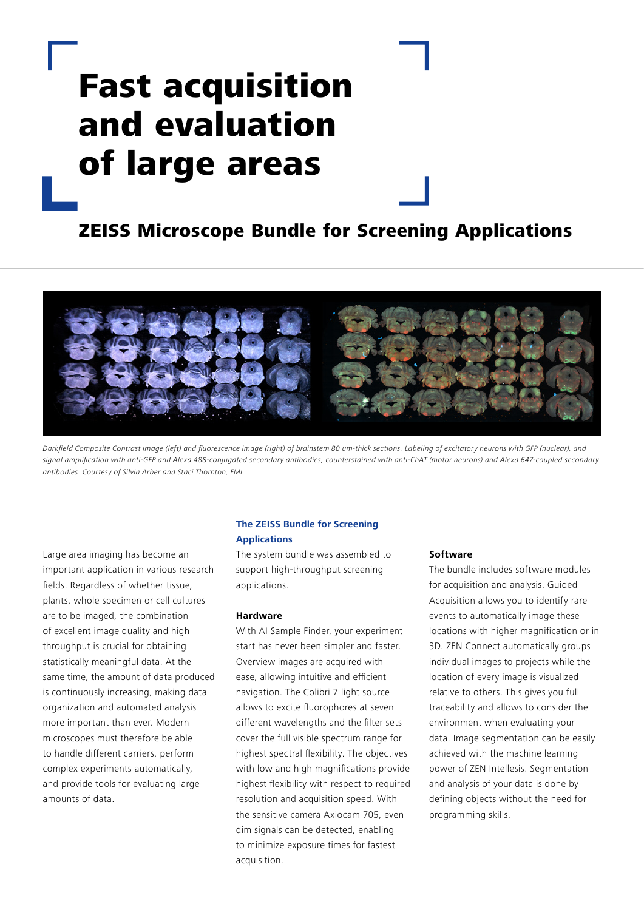# Fast acquisition and evaluation of large areas

## ZEISS Microscope Bundle for Screening Applications



Darkfield Composite Contrast image (left) and fluorescence image (right) of brainstem 80 um-thick sections. Labeling of excitatory neurons with GFP (nuclear), and signal amplification with anti-GFP and Alexa 488-conjugated secondary antibodies, counterstained with anti-ChAT (motor neurons) and Alexa 647-coupled secondary antibodies. Courtesy of Silvia Arber and Staci Thornton, FMI.

Large area imaging has become an important application in various research fields. Regardless of whether tissue, plants, whole specimen or cell cultures are to be imaged, the combination of excellent image quality and high throughput is crucial for obtaining statistically meaningful data. At the same time, the amount of data produced is continuously increasing, making data organization and automated analysis more important than ever. Modern microscopes must therefore be able to handle different carriers, perform complex experiments automatically, and provide tools for evaluating large amounts of data.

### **The ZEISS Bundle for Screening Applications**

The system bundle was assembled to support high-throughput screening applications.

### **Hardware**

With AI Sample Finder, your experiment start has never been simpler and faster. Overview images are acquired with ease, allowing intuitive and efficient navigation. The Colibri 7 light source allows to excite fluorophores at seven different wavelengths and the filter sets cover the full visible spectrum range for highest spectral flexibility. The objectives with low and high magnifications provide highest flexibility with respect to required resolution and acquisition speed. With the sensitive camera Axiocam 705, even dim signals can be detected, enabling to minimize exposure times for fastest acquisition.

### **Software**

The bundle includes software modules for acquisition and analysis. Guided Acquisition allows you to identify rare events to automatically image these locations with higher magnification or in 3D. ZEN Connect automatically groups individual images to projects while the location of every image is visualized relative to others. This gives you full traceability and allows to consider the environment when evaluating your data. Image segmentation can be easily achieved with the machine learning power of ZEN Intellesis. Segmentation and analysis of your data is done by defining objects without the need for programming skills.